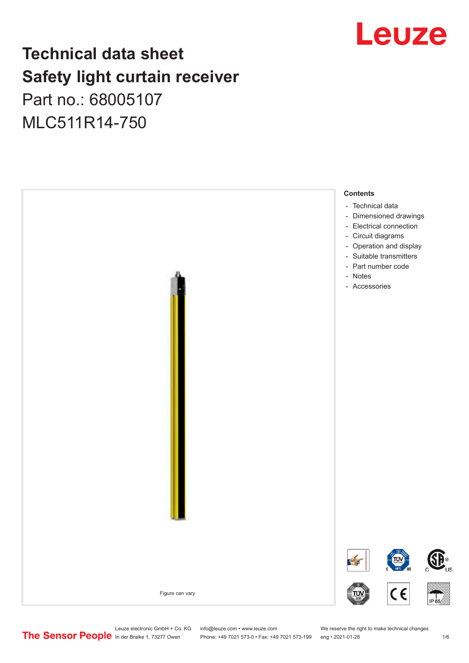## Leuze

## **Technical data sheet Safety light curtain receiver** Part no.: 68005107 MLC511R14-750

**Contents** - [Technical data](#page-1-0) - [Dimensioned drawings](#page-2-0) - [Electrical connection](#page-2-0) - [Circuit diagrams](#page-3-0) - [Operation and display](#page-3-0) [Suitable transmitters](#page-4-0) - [Part number code](#page-4-0) - - Notes - [Accessories](#page-5-0) **TON SP**  $\epsilon$ Figure can vary

Leuze electronic GmbH + Co. KG info@leuze.com • www.leuze.com We reserve the right to make technical changes<br>
The Sensor People in der Braike 1, 73277 Owen Phone: +49 7021 573-0 • Fax: +49 7021 573-199 eng • 2021-01-28

Phone: +49 7021 573-0 • Fax: +49 7021 573-199 eng • 2021-01-28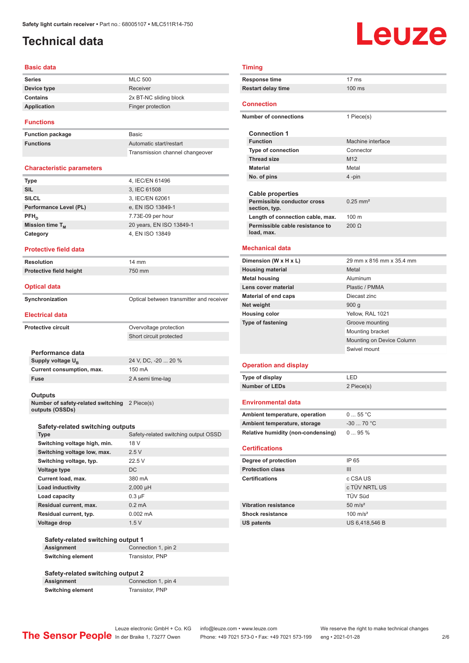### <span id="page-1-0"></span>**Technical data**

# Leuze

#### **Basic data**

| <b>Series</b>   | <b>MLC 500</b>         |
|-----------------|------------------------|
| Device type     | Receiver               |
| <b>Contains</b> | 2x BT-NC sliding block |
| Application     | Finger protection      |
|                 |                        |

#### **Functions**

**Function package** Basic **Functions** 

| <b>Basic</b>                    |
|---------------------------------|
| Automatic start/restart         |
| Transmission channel changeover |

#### **Characteristic parameters**

| <b>Type</b>            | 4, IEC/EN 61496          |
|------------------------|--------------------------|
| <b>SIL</b>             | 3, IEC 61508             |
| <b>SILCL</b>           | 3, IEC/EN 62061          |
| Performance Level (PL) | e, EN ISO 13849-1        |
| $PFH_n$                | 7.73E-09 per hour        |
| Mission time $T_M$     | 20 years, EN ISO 13849-1 |
| Category               | 4, EN ISO 13849          |
|                        |                          |

#### **Protective field data**

**Resolution** 14 mm **Protective field height** 750 mm

#### **Optical data**

| Synchronization | Optical between transmitter and receiver |
|-----------------|------------------------------------------|

#### **Electrical data**

**Protective circuit COVER COVER COVER PROTECTION** Short circuit protected **Performance data** Supply voltage  $U_B$ 

24 V, DC, -20 ... 20 % **Current consumption, max.** 150 mA **Fuse** 2 A semi time-lag

#### **Outputs**

**Number of safety-related switching**  2 Piece(s) **outputs (OSSDs)**

#### **Safety-related switching outputs**

| <b>Type</b>                  | Safety-related switching output OSSD |
|------------------------------|--------------------------------------|
| Switching voltage high, min. | 18 V                                 |
| Switching voltage low, max.  | 2.5V                                 |
| Switching voltage, typ.      | 22.5V                                |
| <b>Voltage type</b>          | DC.                                  |
| Current load, max.           | 380 mA                               |
| Load inductivity             | $2,000$ µH                           |
| Load capacity                | $0.3 \mu F$                          |
| Residual current, max.       | $0.2 \text{ mA}$                     |
| Residual current, typ.       | $0.002 \, \text{mA}$                 |
| <b>Voltage drop</b>          | 1.5V                                 |

#### **Safety-related switching output 1 Assignment** Connection 1, pin 2 **Switching element** Transistor, PNP

#### **Safety-related switching output 2 Connection 1, pin 4 Switching element** Transistor, PNP

### **Timing**

| <b>Response time</b>                          | $17 \text{ ms}$        |
|-----------------------------------------------|------------------------|
| <b>Restart delay time</b>                     | $100$ ms               |
|                                               |                        |
| <b>Connection</b>                             |                        |
| <b>Number of connections</b>                  | 1 Piece(s)             |
|                                               |                        |
| <b>Connection 1</b>                           |                        |
| <b>Function</b>                               | Machine interface      |
| <b>Type of connection</b>                     | Connector              |
| <b>Thread size</b>                            | M12                    |
| <b>Material</b>                               | Metal                  |
| No. of pins                                   | 4-pin                  |
|                                               |                        |
| Cable properties                              |                        |
| Permissible conductor cross<br>section, typ.  | $0.25$ mm <sup>2</sup> |
| Length of connection cable, max.              | 100 <sub>m</sub>       |
| Permissible cable resistance to<br>load, max. | $200 \Omega$           |
| <b>Mechanical data</b>                        |                        |

### **Dimension (W x H x L)** 29 mm x 816 mm x 35.4 mm **Housing material** Metal **Metal housing Aluminum Lens cover material Plastic / PMMA Material of end caps** Diecast zinc **Net weight** 900 g **Housing color** Yellow, RAL 1021 **Type of fastening** Groove mounting Mounting bracket Mounting on Device Column Swivel mount

#### **Operation and display**

| Type of display       | I FD       |
|-----------------------|------------|
| <b>Number of LEDs</b> | 2 Piece(s) |

#### **Environmental data**

| Ambient temperature, operation     | 055 °C     |
|------------------------------------|------------|
| Ambient temperature, storage       | $-3070 °C$ |
| Relative humidity (non-condensing) | $095\%$    |

#### **Certifications**

| Degree of protection        | IP 65               |
|-----------------------------|---------------------|
| <b>Protection class</b>     | Ш                   |
| <b>Certifications</b>       | c CSA US            |
|                             | c TÜV NRTL US       |
|                             | <b>TÜV Süd</b>      |
| <b>Vibration resistance</b> | $50 \text{ m/s}^2$  |
| <b>Shock resistance</b>     | $100 \text{ m/s}^2$ |
| <b>US patents</b>           | US 6.418.546 B      |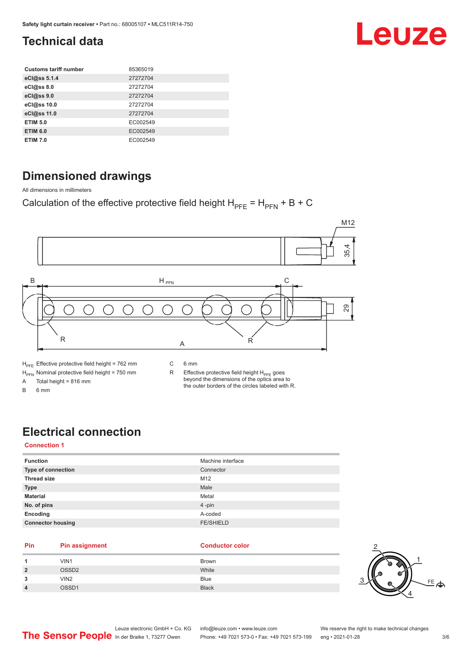### <span id="page-2-0"></span>**Technical data**

| <b>Customs tariff number</b> | 85365019 |
|------------------------------|----------|
| eCl@ss 5.1.4                 | 27272704 |
| eCl@ss 8.0                   | 27272704 |
| eCl@ss 9.0                   | 27272704 |
| eCl@ss 10.0                  | 27272704 |
| eCl@ss 11.0                  | 27272704 |
| <b>ETIM 5.0</b>              | EC002549 |
| <b>ETIM 6.0</b>              | EC002549 |
| <b>ETIM 7.0</b>              | EC002549 |

### **Dimensioned drawings**

All dimensions in millimeters

### Calculation of the effective protective field height  $H_{PFE} = H_{PFN} + B + C$



A Total height = 816 mm

B 6 mm

R Effective protective field height  $H_{PFE}$  goes beyond the dimensions of the optics area to the outer borders of the circles labeled with R.

### **Electrical connection**

#### **Connection 1**

| <b>Function</b>          | Machine interface |
|--------------------------|-------------------|
| Type of connection       | Connector         |
| <b>Thread size</b>       | M12               |
| <b>Type</b>              | Male              |
| <b>Material</b>          | Metal             |
| No. of pins              | 4-pin             |
| Encoding                 | A-coded           |
| <b>Connector housing</b> | <b>FE/SHIELD</b>  |
|                          |                   |

#### **Pin Pin assignment Conductor Conductor Color**

| 1              | VIN1              | Brown        |
|----------------|-------------------|--------------|
| $\overline{2}$ | OSSD <sub>2</sub> | White        |
| 3              | VIN <sub>2</sub>  | <b>Blue</b>  |
| $\overline{4}$ | OSSD1             | <b>Black</b> |



Leuze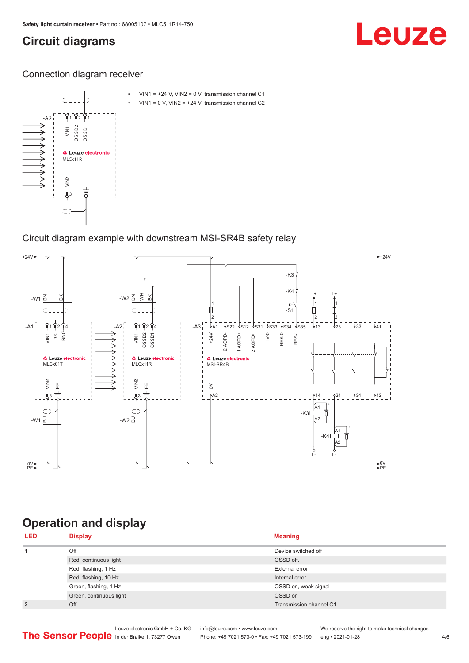### <span id="page-3-0"></span>**Circuit diagrams**

## Leuze

Connection diagram receiver



### Circuit diagram example with downstream MSI-SR4B safety relay



### **Operation and display**

| <b>LED</b>     | <b>Display</b>          | <b>Meaning</b>          |
|----------------|-------------------------|-------------------------|
| 1              | Off                     | Device switched off     |
|                | Red, continuous light   | OSSD off.               |
|                | Red, flashing, 1 Hz     | External error          |
|                | Red, flashing, 10 Hz    | Internal error          |
|                | Green, flashing, 1 Hz   | OSSD on, weak signal    |
|                | Green, continuous light | OSSD on                 |
| $\overline{2}$ | Off                     | Transmission channel C1 |

Phone: +49 7021 573-0 • Fax: +49 7021 573-199 eng • 2021-01-28 4/6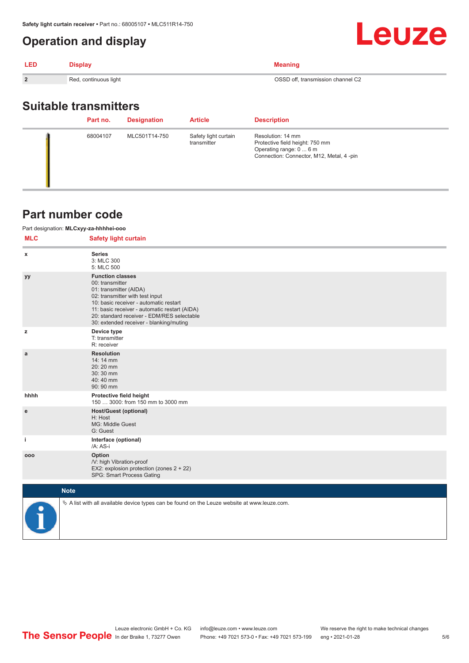### <span id="page-4-0"></span>**Operation and display**

| <b>LED</b>     | <b>Display</b>        | Meaning                           |
|----------------|-----------------------|-----------------------------------|
| $\overline{2}$ | Red, continuous light | OSSD off, transmission channel C2 |
|                |                       |                                   |

### **Suitable transmitters**

| Part no. | <b>Designation</b> | <b>Article</b>                      | <b>Description</b>                                                                                                          |
|----------|--------------------|-------------------------------------|-----------------------------------------------------------------------------------------------------------------------------|
| 68004107 | MLC501T14-750      | Safety light curtain<br>transmitter | Resolution: 14 mm<br>Protective field height: 750 mm<br>Operating range: 0  6 m<br>Connection: Connector, M12, Metal, 4-pin |

### **Part number code**

#### Part designation: **MLCxyy-za-hhhhei-ooo**

| <b>MLC</b> | <b>Safety light curtain</b>                                                                                                                                                                                                                                                                 |
|------------|---------------------------------------------------------------------------------------------------------------------------------------------------------------------------------------------------------------------------------------------------------------------------------------------|
| x          | <b>Series</b><br>3: MLC 300<br>5: MLC 500                                                                                                                                                                                                                                                   |
| yy         | <b>Function classes</b><br>00: transmitter<br>01: transmitter (AIDA)<br>02: transmitter with test input<br>10: basic receiver - automatic restart<br>11: basic receiver - automatic restart (AIDA)<br>20: standard receiver - EDM/RES selectable<br>30: extended receiver - blanking/muting |
| z          | Device type<br>T: transmitter<br>R: receiver                                                                                                                                                                                                                                                |
| a          | <b>Resolution</b><br>14: 14 mm<br>20:20 mm<br>30:30 mm<br>40:40 mm<br>90: 90 mm                                                                                                                                                                                                             |
| hhhh       | Protective field height<br>150  3000: from 150 mm to 3000 mm                                                                                                                                                                                                                                |
| e          | <b>Host/Guest (optional)</b><br>H: Host<br>MG: Middle Guest<br>G: Guest                                                                                                                                                                                                                     |
| j.         | Interface (optional)<br>/A: AS-i                                                                                                                                                                                                                                                            |
| 000        | Option<br>/V: high Vibration-proof<br>EX2: explosion protection (zones 2 + 22)<br>SPG: Smart Process Gating                                                                                                                                                                                 |
|            | <b>Note</b>                                                                                                                                                                                                                                                                                 |



 $\%$  A list with all available device types can be found on the Leuze website at www.leuze.com.

Leuze